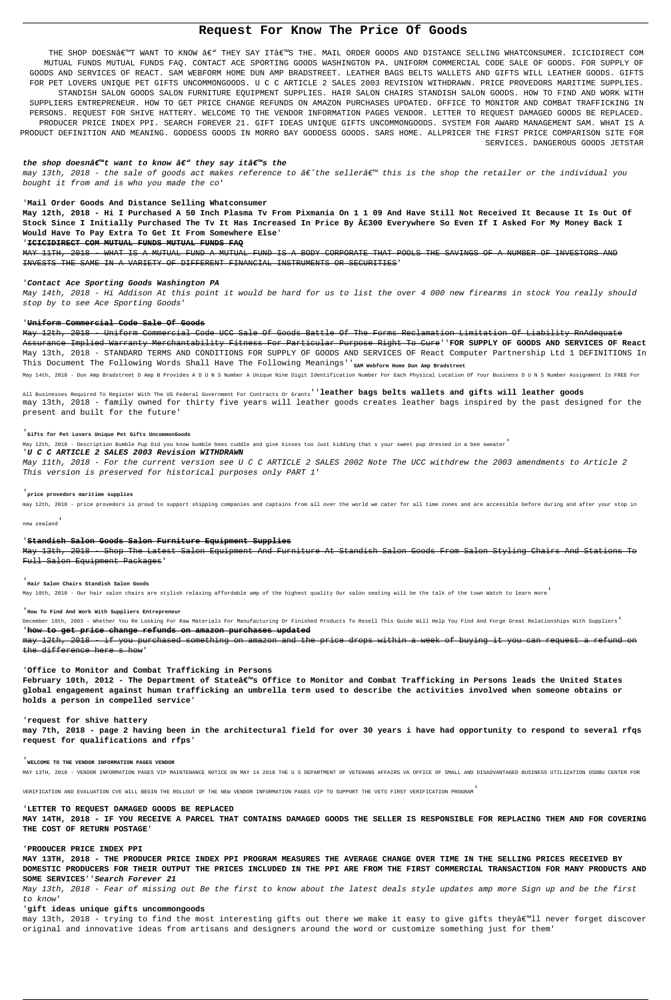# **Request For Know The Price Of Goods**

THE SHOP DOESN€™T WANT TO KNOW €" THEY SAY IT€™S THE. MAIL ORDER GOODS AND DISTANCE SELLING WHATCONSUMER. ICICIDIRECT COM MUTUAL FUNDS MUTUAL FUNDS FAQ. CONTACT ACE SPORTING GOODS WASHINGTON PA. UNIFORM COMMERCIAL CODE SALE OF GOODS. FOR SUPPLY OF GOODS AND SERVICES OF REACT. SAM WEBFORM HOME DUN AMP BRADSTREET. LEATHER BAGS BELTS WALLETS AND GIFTS WILL LEATHER GOODS. GIFTS FOR PET LOVERS UNIQUE PET GIFTS UNCOMMONGOODS. U C C ARTICLE 2 SALES 2003 REVISION WITHDRAWN. PRICE PROVEDORS MARITIME SUPPLIES. STANDISH SALON GOODS SALON FURNITURE EQUIPMENT SUPPLIES. HAIR SALON CHAIRS STANDISH SALON GOODS. HOW TO FIND AND WORK WITH SUPPLIERS ENTREPRENEUR. HOW TO GET PRICE CHANGE REFUNDS ON AMAZON PURCHASES UPDATED. OFFICE TO MONITOR AND COMBAT TRAFFICKING IN PERSONS. REQUEST FOR SHIVE HATTERY. WELCOME TO THE VENDOR INFORMATION PAGES VENDOR. LETTER TO REQUEST DAMAGED GOODS BE REPLACED. PRODUCER PRICE INDEX PPI. SEARCH FOREVER 21. GIFT IDEAS UNIQUE GIFTS UNCOMMONGOODS. SYSTEM FOR AWARD MANAGEMENT SAM. WHAT IS A PRODUCT DEFINITION AND MEANING. GODDESS GOODS IN MORRO BAY GODDESS GOODS. SARS HOME. ALLPRICER THE FIRST PRICE COMPARISON SITE FOR SERVICES. DANGEROUS GOODS JETSTAR

# the shop doesnâ€<sup>™</sup>t want to know â€" they say itâ€<sup>™</sup>s the

may 13th, 2018 - the sale of goods act makes reference to â€~the seller' this is the shop the retailer or the individual you bought it from and is who you made the co'

MAY 11TH, 2018 - WHAT IS A MUTUAL FUND A MUTUAL FUND IS A BODY CORPORATE THAT POOLS THE SAVINGS OF A NUMBER OF INVESTORS AND INVESTS THE SAME IN A VARIETY OF DIFFERENT FINANCIAL INSTRUMENTS OR SECURITIES'

May 12th, 2018 - Uniform Commercial Code UCC Sale Of Goods Battle Of The Forms Reclamation Limitation Of Liability RnAdequate Assurance Implied Warranty Merchantability Fitness For Particular Purpose Right To Cure''**FOR SUPPLY OF GOODS AND SERVICES OF React** May 13th, 2018 - STANDARD TERMS AND CONDITIONS FOR SUPPLY OF GOODS AND SERVICES OF React Computer Partnership Ltd 1 DEFINITIONS In This Document The Following Words Shall Have The Following Meanings''<sub>SAM Webform Home Dun Amp Bradstreet</sub>

May 14th, 2018 - Dun Amp Bradstreet D Amp B Provides A D U N S Number A Unique Nine Digit Identification Number For Each Physical Location Of Your Business D U N S Number Assignment Is FREE For

# '**Mail Order Goods And Distance Selling Whatconsumer**

**May 12th, 2018 - Hi I Purchased A 50 Inch Plasma Tv From Pixmania On 1 1 09 And Have Still Not Received It Because It Is Out Of Stock Since I Initially Purchased The Tv It Has Increased In Price By £300 Everywhere So Even If I Asked For My Money Back I Would Have To Pay Extra To Get It From Somewhere Else**'

'**ICICIDIRECT COM MUTUAL FUNDS MUTUAL FUNDS FAQ**

### '**Contact Ace Sporting Goods Washington PA**

May 14th, 2018 - Hi Addison At this point it would be hard for us to list the over 4 000 new firearms in stock You really should stop by to see Ace Sporting Goods'

# '**Uniform Commercial Code Sale Of Goods**

December 10th, 2003 - Whether You Re Looking For Raw Materials For Manufacturing Or Finished Products To Resell This Guide Will Help You Find And Forge Great Relationships With Suppliers' '**how to get price change refunds on amazon purchases updated**

February 10th, 2012 - The Department of Stateâ€<sup>™</sup>s Office to Monitor and Combat Trafficking in Persons leads the United States **global engagement against human trafficking an umbrella term used to describe the activities involved when someone obtains or holds a person in compelled service**'

All Businesses Required To Register With The US Federal Government For Contracts Or Grants''**leather bags belts wallets and gifts will leather goods** may 13th, 2018 - family owned for thirty five years will leather goods creates leather bags inspired by the past designed for the present and built for the future'

# '**Gifts for Pet Lovers Unique Pet Gifts UncommonGoods**

may 13th, 2018 - trying to find the most interesting gifts out there we make it easy to give gifts they'll never forget discover original and innovative ideas from artisans and designers around the word or customize something just for them'

May 12th, 2018 - Description Bumble Pup Did you know bumble bees cuddle and give kisses too Just kidding that s your sweet pup dressed in a bee sweater'

## '**U C C ARTICLE 2 SALES 2003 Revision WITHDRAWN**

May 11th, 2018 - For the current version see U C C ARTICLE 2 SALES 2002 Note The UCC withdrew the 2003 amendments to Article 2 This version is preserved for historical purposes only PART 1'

### '**price provedors maritime supplies**

may 12th, 2018 - price provedors is proud to support shipping companies and captains from all over the world we cater for all time zones and are accessible before during and after your stop in

new zealand'

# '**Standish Salon Goods Salon Furniture Equipment Supplies**

May 13th, 2018 - Shop The Latest Salon Equipment And Furniture At Standish Salon Goods From Salon Styling Chairs And Stations To Full Salon Equipment Packages'

## '**Hair Salon Chairs Standish Salon Goods**

May 10th, 2018 - Our hair salon chairs are stylish relaxing affordable amp of the highest quality Our salon seating will be the talk of the town Watch to learn more'

'**How To Find And Work With Suppliers Entrepreneur**

may 12th, 2018 - if you purchased something on amazon and the price drops within a week of buying it you can request a refund on the difference here s how'

### '**Office to Monitor and Combat Trafficking in Persons**

### '**request for shive hattery**

**may 7th, 2018 - page 2 having been in the architectural field for over 30 years i have had opportunity to respond to several rfqs request for qualifications and rfps**'

# '**WELCOME TO THE VENDOR INFORMATION PAGES VENDOR**

MAY 13TH, 2018 - VENDOR INFORMATION PAGES VIP MAINTENANCE NOTICE ON MAY 14 2018 THE U S DEPARTMENT OF VETERANS AFFAIRS VA OFFICE OF SMALL AND DISADVANTAGED BUSINESS UTILIZATION OSDBU CENTER FOR

VERIFICATION AND EVALUATION CVE WILL BEGIN THE ROLLOUT OF THE NEW VENDOR INFORMATION PAGES VIP TO SUPPORT THE VETS FIRST VERIFICATION PROGRAM'

### '**LETTER TO REQUEST DAMAGED GOODS BE REPLACED**

**MAY 14TH, 2018 - IF YOU RECEIVE A PARCEL THAT CONTAINS DAMAGED GOODS THE SELLER IS RESPONSIBLE FOR REPLACING THEM AND FOR COVERING THE COST OF RETURN POSTAGE**'

## '**PRODUCER PRICE INDEX PPI**

**MAY 13TH, 2018 - THE PRODUCER PRICE INDEX PPI PROGRAM MEASURES THE AVERAGE CHANGE OVER TIME IN THE SELLING PRICES RECEIVED BY DOMESTIC PRODUCERS FOR THEIR OUTPUT THE PRICES INCLUDED IN THE PPI ARE FROM THE FIRST COMMERCIAL TRANSACTION FOR MANY PRODUCTS AND SOME SERVICES**''**Search Forever 21**

May 13th, 2018 - Fear of missing out Be the first to know about the latest deals style updates amp more Sign up and be the first to know'

## '**gift ideas unique gifts uncommongoods**